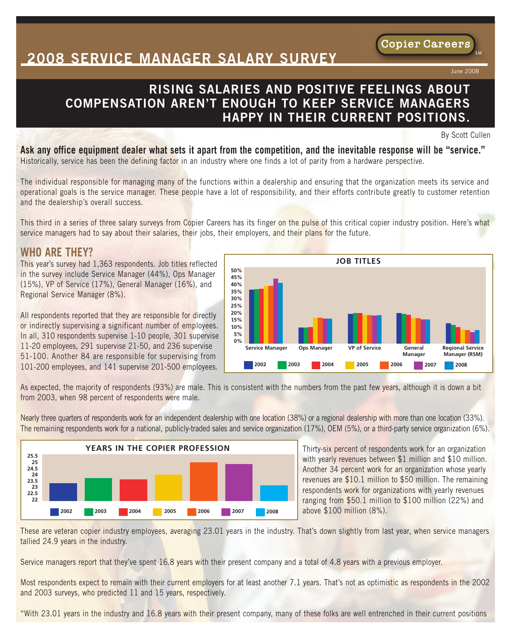## **2008 SERVICE MANAGER SALARY SURVEY**

## **RISING SALARIES AND POSITIVE FEELINGS ABOUT COMPENSATION AREN'T ENOUGH TO KEEP SERVICE MANAGERS HAPPY IN THEIR CURRENT POSITIONS.**

By Scott Cullen

June 2008

Copier Careers

Ask any office equipment dealer what sets it apart from the competition, and the inevitable response will be "service." Historically, service has been the defining factor in an industry where one finds a lot of parity from a hardware perspective.

The individual responsible for managing many of the functions within a dealership and ensuring that the organization meets its service and operational goals is the service manager. These people have a lot of responsibility, and their efforts contribute greatly to customer retention and the dealership's overall success.

This third in a series of three salary surveys from Copier Careers has its finger on the pulse of this critical copier industry position. Here's what service managers had to say about their salaries, their jobs, their employers, and their plans for the future.

### **WHO ARE THEY?**

This year's survey had 1,363 respondents. Job titles reflected in the survey include Service Manager (44%), Ops Manager (15%), VP of Service (17%), General Manager (16%), and Regional Service Manager (8%).

All respondents reported that they are responsible for directly or indirectly supervising a significant number of employees. In all, 310 respondents supervise 1-10 people, 301 supervise 11-20 employees, 291 supervise 21-50, and 236 supervise 51-100. Another 84 are responsible for supervising from 101-200 employees, and 141 supervise 201-500 employees.

**2002 2003 2004 2005 2006 2007 2008 50% 45% 40% 35% 30% 25% 20% 15% 10% 5% 0% Service Manager Ops Manager VP of Service General Manager Regional Service Manager (RSM)**

**JOB TITLES**

As expected, the majority of respondents (93%) are male. This is consistent with the numbers from the past few years, although it is down a bit from 2003, when 98 percent of respondents were male.

Nearly three quarters of respondents work for an independent dealership with one location (38%) or a regional dealership with more than one location (33%). The remaining respondents work for a national, publicly-traded sales and service organization (17%), OEM (5%), or a third-party service organization (6%).



Thirty-six percent of respondents work for an organization with yearly revenues between \$1 million and \$10 million. Another 34 percent work for an organization whose yearly revenues are \$10.1 million to \$50 million. The remaining respondents work for organizations with yearly revenues ranging from \$50.1 million to \$100 million (22%) and above \$100 million (8%).

These are veteran copier industry employees, averaging 23.01 years in the industry. That's down slightly from last year, when service managers tallied 24.9 years in the industry.

Service managers report that they've spent 16.8 years with their present company and a total of 4.8 years with a previous employer.

Most respondents expect to remain with their current employers for at least another 7.1 years. That's not as optimistic as respondents in the 2002 and 2003 surveys, who predicted 11 and 15 years, respectively.

"With 23.01 years in the industry and 16.8 years with their present company, many of these folks are well entrenched in their current positions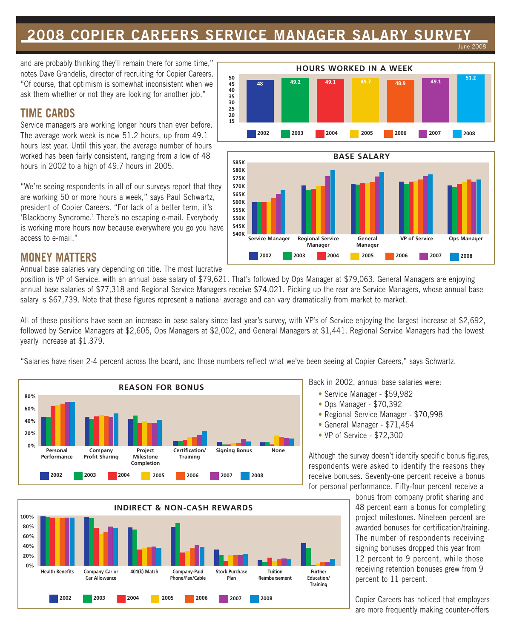#### **2008 COPIER CAREERS SERVICE MANAGER SALARY SURVEY** June 2008

and are probably thinking they'll remain there for some time," notes Dave Grandelis, director of recruiting for Copier Careers. "Of course, that optimism is somewhat inconsistent when we ask them whether or not they are looking for another job."

### **TIME CARDS**

Service managers are working longer hours than ever before. The average work week is now 51.2 hours, up from 49.1 hours last year. Until this year, the average number of hours worked has been fairly consistent, ranging from a low of 48 hours in 2002 to a high of 49.7 hours in 2005.

"We're seeing respondents in all of our surveys report that they are working 50 or more hours a week," says Paul Schwartz, president of Copier Careers. "For lack of a better term, it's 'Blackberry Syndrome.' There's no escaping e-mail. Everybody is working more hours now because everywhere you go you have access to e-mail."





### **MONEY MATTERS**

Annual base salaries vary depending on title. The most lucrative

position is VP of Service, with an annual base salary of \$79,621. That's followed by Ops Manager at \$79,063. General Managers are enjoying annual base salaries of \$77,318 and Regional Service Managers receive \$74,021. Picking up the rear are Service Managers, whose annual base salary is \$67,739. Note that these figures represent a national average and can vary dramatically from market to market.

All of these positions have seen an increase in base salary since last year's survey, with VP's of Service enjoying the largest increase at \$2,692, followed by Service Managers at \$2,605, Ops Managers at \$2,002, and General Managers at \$1,441. Regional Service Managers had the lowest yearly increase at \$1,379.

"Salaries have risen 2-4 percent across the board, and those numbers reflect what we've been seeing at Copier Careers," says Schwartz.



**100% 80% 60% 40% 20% 0% INDIRECT & NON-CASH REWARDS Health Benefits Company Car or Car Allowance 401(k) Match Company-Paid Phone/Fax/Cable Stock Purchase Plan Tuition Reimbursement Further Education/ Training 2002 2003 2004 2005 2006 2007 2008**

Back in 2002, annual base salaries were:

- Service Manager \$59,982
- Ops Manager \$70,392
- Regional Service Manager \$70,998
- General Manager \$71,454
- VP of Service \$72,300

Although the survey doesn't identify specific bonus figures, respondents were asked to identify the reasons they receive bonuses. Seventy-one percent receive a bonus for personal performance. Fifty-four percent receive a

> bonus from company profit sharing and 48 percent earn a bonus for completing project milestones. Nineteen percent are awarded bonuses for certification/training. The number of respondents receiving signing bonuses dropped this year from 12 percent to 9 percent, while those receiving retention bonuses grew from 9 percent to 11 percent.

> Copier Careers has noticed that employers are more frequently making counter-offers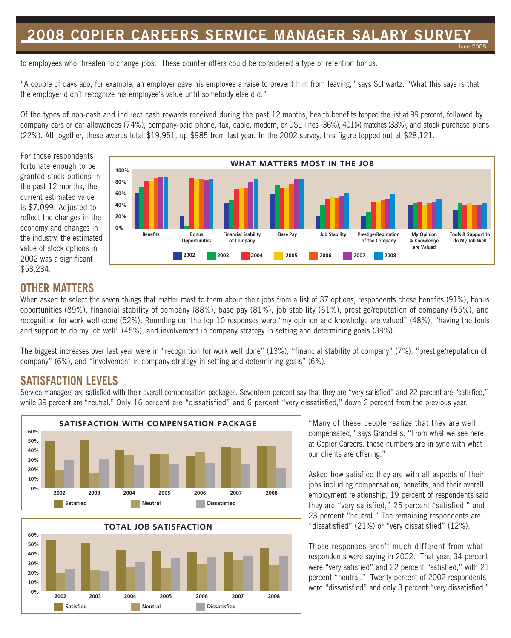# **2008 COPIER CAREERS SERVICE MANAGER SALARY SURVEY**

June 2008

to employees who threaten to change jobs. These counter offers could be considered a type of retention bonus.

"A couple of days ago, for example, an employer gave his employee a raise to prevent him from leaving," says Schwartz. "What this says is that the employer didn't recognize his employee's value until somebody else did."

Of the types of non-cash and indirect cash rewards received during the past 12 months, health benefits topped the list at 99 percent, followed by company cars or car allowances (74%), company-paid phone, fax, cable, modem, or DSL lines (36%), 401(k) matches (33%), and stock purchase plans (22%). All together, these awards total \$19,951, up \$985 from last year. In the 2002 survey, this figure topped out at \$28,121.

For those respondents fortunate enough to be granted stock options in the past 12 months, the current estimated value is \$7,099. Adjusted to reflect the changes in the economy and changes in the industry, the estimated value of stock options in 2002 was a significant \$53,234.



## **OTHER MATTERS**

When asked to select the seven things that matter most to them about their jobs from a list of 37 options, respondents chose benefits (91%), bonus opportunities (89%), financial stability of company (88%), base pay (81%), job stability (61%), prestige/reputation of company (55%), and recognition for work well done (52%). Rounding out the top 10 responses were "my opinion and knowledge are valued" (48%), "having the tools and support to do my job well" (45%), and involvement in company strategy in setting and determining goals (39%).

The biggest increases over last year were in "recognition for work well done" (13%), "financial stability of company" (7%), "prestige/reputation of company" (6%), and "involvement in company strategy in setting and determining goals" (6%).

### **SATISFACTION LEVELS**

Service managers are satisfied with their overall compensation packages. Seventeen percent say that they are "very satisfied" and 22 percent are "satisfied," while 39 percent are "neutral." Only 16 percent are "dissatisfied" and 6 percent "very dissatisfied," down 2 percent from the previous year.





"Many of these people realize that they are well compensated," says Grandelis. "From what we see here at Copier Careers, those numbers are in sync with what our clients are offering."

Asked how satisfied they are with all aspects of their jobs including compensation, benefits, and their overall employment relationship, 19 percent of respondents said they are "very satisfied," 25 percent "satisfied," and 23 percent "neutral." The remaining respondents are "dissatisfied" (21%) or "very dissatisfied" (12%).

Those responses aren't much different from what respondents were saying in 2002. That year, 34 percent were "very satisfied" and 22 percent "satisfied," with 21 percent "neutral." Twenty percent of 2002 respondents were "dissatisfied" and only 3 percent "very dissatisfied."